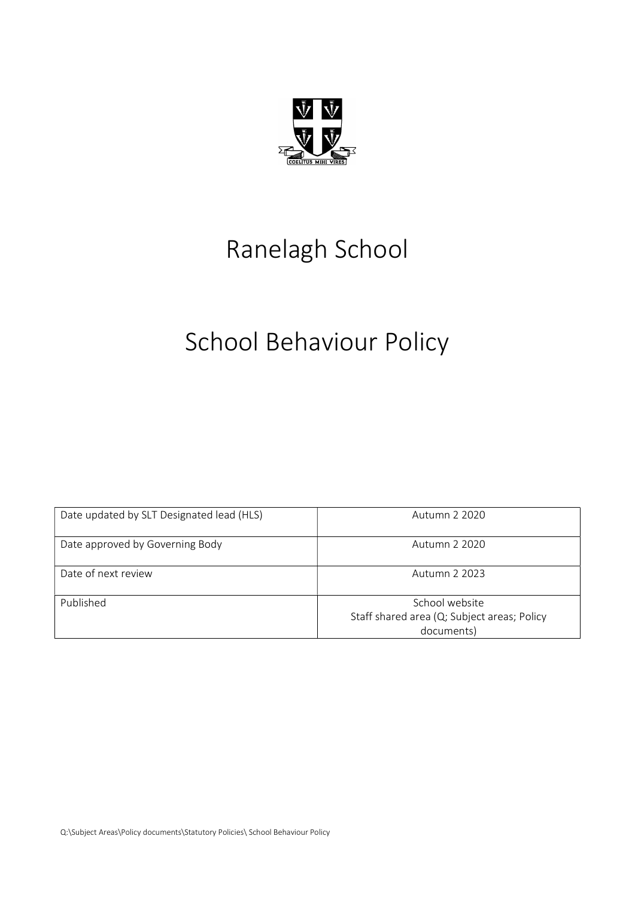

# Ranelagh School

# School Behaviour Policy

| Date updated by SLT Designated lead (HLS) | Autumn 2 2020                                                               |
|-------------------------------------------|-----------------------------------------------------------------------------|
| Date approved by Governing Body           | Autumn 2 2020                                                               |
| Date of next review                       | Autumn 2 2023                                                               |
| Published                                 | School website<br>Staff shared area (Q; Subject areas; Policy<br>documents) |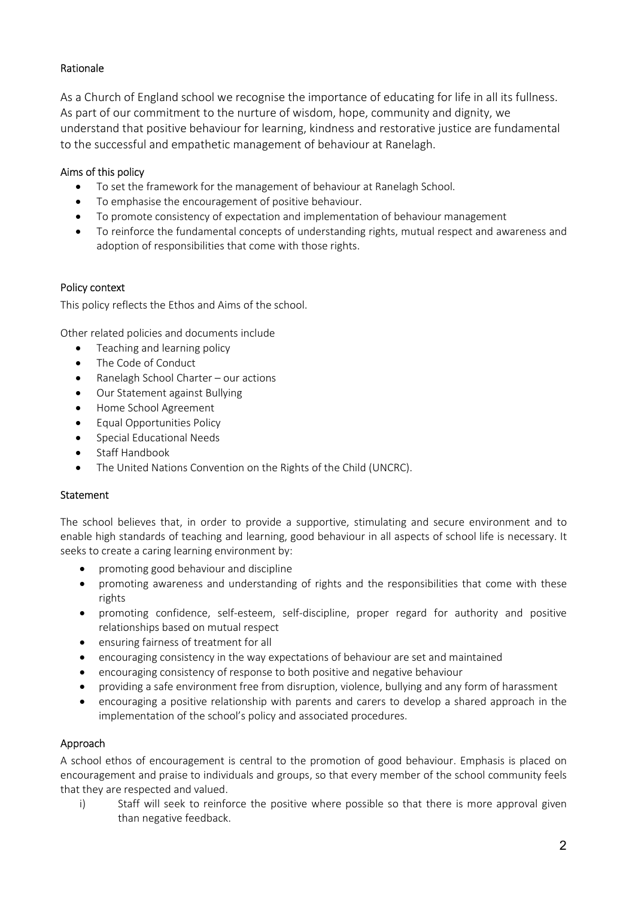# Rationale

As a Church of England school we recognise the importance of educating for life in all its fullness. As part of our commitment to the nurture of wisdom, hope, community and dignity, we understand that positive behaviour for learning, kindness and restorative justice are fundamental to the successful and empathetic management of behaviour at Ranelagh.

## Aims of this policy

- To set the framework for the management of behaviour at Ranelagh School.
- To emphasise the encouragement of positive behaviour.
- To promote consistency of expectation and implementation of behaviour management
- To reinforce the fundamental concepts of understanding rights, mutual respect and awareness and adoption of responsibilities that come with those rights.

## Policy context

This policy reflects the Ethos and Aims of the school.

Other related policies and documents include

- Teaching and learning policy
- The Code of Conduct
- Ranelagh School Charter our actions
- Our Statement against Bullying
- Home School Agreement
- Equal Opportunities Policy
- **•** Special Educational Needs
- Staff Handbook
- The United Nations Convention on the Rights of the Child (UNCRC).

## **Statement**

The school believes that, in order to provide a supportive, stimulating and secure environment and to enable high standards of teaching and learning, good behaviour in all aspects of school life is necessary. It seeks to create a caring learning environment by:

- **•** promoting good behaviour and discipline
- promoting awareness and understanding of rights and the responsibilities that come with these rights
- promoting confidence, self-esteem, self-discipline, proper regard for authority and positive relationships based on mutual respect
- ensuring fairness of treatment for all
- encouraging consistency in the way expectations of behaviour are set and maintained
- encouraging consistency of response to both positive and negative behaviour
- providing a safe environment free from disruption, violence, bullying and any form of harassment
- encouraging a positive relationship with parents and carers to develop a shared approach in the implementation of the school's policy and associated procedures.

# Approach

A school ethos of encouragement is central to the promotion of good behaviour. Emphasis is placed on encouragement and praise to individuals and groups, so that every member of the school community feels that they are respected and valued.

i) Staff will seek to reinforce the positive where possible so that there is more approval given than negative feedback.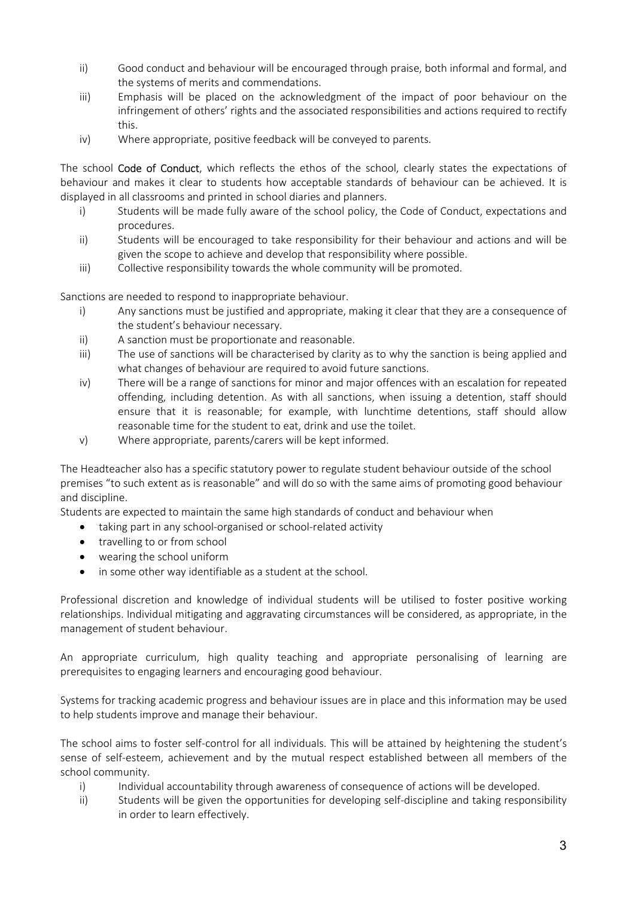- ii) Good conduct and behaviour will be encouraged through praise, both informal and formal, and the systems of merits and commendations.
- iii) Emphasis will be placed on the acknowledgment of the impact of poor behaviour on the infringement of others' rights and the associated responsibilities and actions required to rectify this.
- iv) Where appropriate, positive feedback will be conveyed to parents.

The school Code of Conduct, which reflects the ethos of the school, clearly states the expectations of behaviour and makes it clear to students how acceptable standards of behaviour can be achieved. It is displayed in all classrooms and printed in school diaries and planners.

- i) Students will be made fully aware of the school policy, the Code of Conduct, expectations and procedures.
- ii) Students will be encouraged to take responsibility for their behaviour and actions and will be given the scope to achieve and develop that responsibility where possible.
- iii) Collective responsibility towards the whole community will be promoted.

Sanctions are needed to respond to inappropriate behaviour.

- i) Any sanctions must be justified and appropriate, making it clear that they are a consequence of the student's behaviour necessary.
- ii) A sanction must be proportionate and reasonable.
- iii) The use of sanctions will be characterised by clarity as to why the sanction is being applied and what changes of behaviour are required to avoid future sanctions.
- iv) There will be a range of sanctions for minor and major offences with an escalation for repeated offending, including detention. As with all sanctions, when issuing a detention, staff should ensure that it is reasonable; for example, with lunchtime detentions, staff should allow reasonable time for the student to eat, drink and use the toilet.
- v) Where appropriate, parents/carers will be kept informed.

The Headteacher also has a specific statutory power to regulate student behaviour outside of the school premises "to such extent as is reasonable" and will do so with the same aims of promoting good behaviour and discipline.

Students are expected to maintain the same high standards of conduct and behaviour when

- taking part in any school-organised or school-related activity
- travelling to or from school
- wearing the school uniform
- in some other way identifiable as a student at the school.

Professional discretion and knowledge of individual students will be utilised to foster positive working relationships. Individual mitigating and aggravating circumstances will be considered, as appropriate, in the management of student behaviour.

An appropriate curriculum, high quality teaching and appropriate personalising of learning are prerequisites to engaging learners and encouraging good behaviour.

Systems for tracking academic progress and behaviour issues are in place and this information may be used to help students improve and manage their behaviour.

The school aims to foster self-control for all individuals. This will be attained by heightening the student's sense of self-esteem, achievement and by the mutual respect established between all members of the school community.

- i) Individual accountability through awareness of consequence of actions will be developed.
- ii) Students will be given the opportunities for developing self-discipline and taking responsibility in order to learn effectively.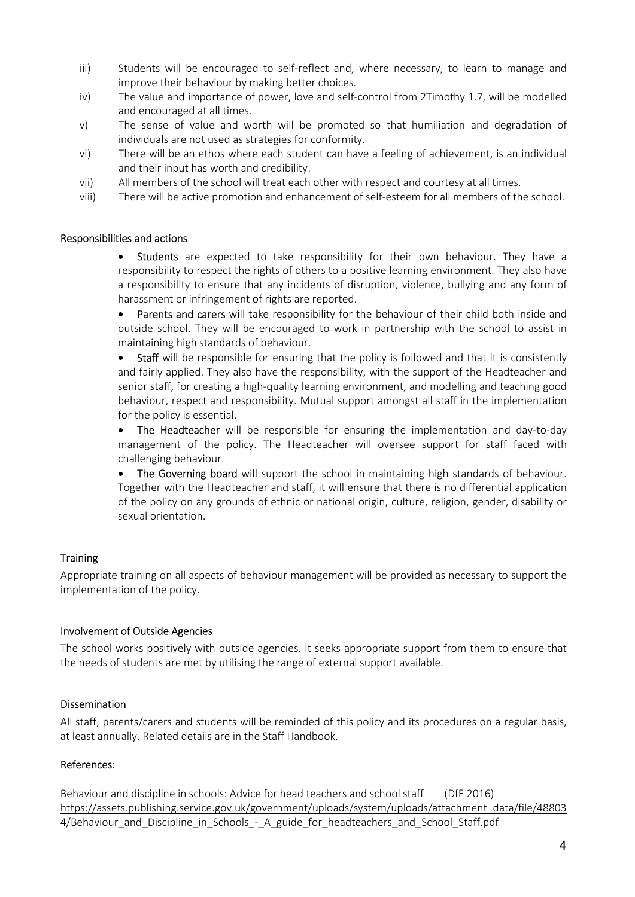- iii) Students will be encouraged to self-reflect and, where necessary, to learn to manage and improve their behaviour by making better choices.
- iv) The value and importance of power, love and self-control from 2Timothy 1.7, will be modelled and encouraged at all times.
- v) The sense of value and worth will be promoted so that humiliation and degradation of individuals are not used as strategies for conformity.
- vi) There will be an ethos where each student can have a feeling of achievement, is an individual and their input has worth and credibility.
- vii) All members of the school will treat each other with respect and courtesy at all times.
- viii) There will be active promotion and enhancement of self-esteem for all members of the school.

#### Responsibilities and actions

Students are expected to take responsibility for their own behaviour. They have a responsibility to respect the rights of others to a positive learning environment. They also have a responsibility to ensure that any incidents of disruption, violence, bullying and any form of harassment or infringement of rights are reported.

• Parents and carers will take responsibility for the behaviour of their child both inside and outside school. They will be encouraged to work in partnership with the school to assist in maintaining high standards of behaviour.

Staff will be responsible for ensuring that the policy is followed and that it is consistently and fairly applied. They also have the responsibility, with the support of the Headteacher and senior staff, for creating a high-quality learning environment, and modelling and teaching good behaviour, respect and responsibility. Mutual support amongst all staff in the implementation for the policy is essential.

 The Headteacher will be responsible for ensuring the implementation and day-to-day management of the policy. The Headteacher will oversee support for staff faced with challenging behaviour.

• The Governing board will support the school in maintaining high standards of behaviour. Together with the Headteacher and staff, it will ensure that there is no differential application of the policy on any grounds of ethnic or national origin, culture, religion, gender, disability or sexual orientation.

#### **Training**

Appropriate training on all aspects of behaviour management will be provided as necessary to support the implementation of the policy.

#### Involvement of Outside Agencies

The school works positively with outside agencies. It seeks appropriate support from them to ensure that the needs of students are met by utilising the range of external support available.

#### Dissemination

All staff, parents/carers and students will be reminded of this policy and its procedures on a regular basis, at least annually. Related details are in the Staff Handbook.

#### References:

Behaviour and discipline in schools: Advice for head teachers and school staff (DfE 2016) https://assets.publishing.service.gov.uk/government/uploads/system/uploads/attachment\_data/file/48803 4/Behaviour and Discipline in Schools - A guide for headteachers and School Staff.pdf